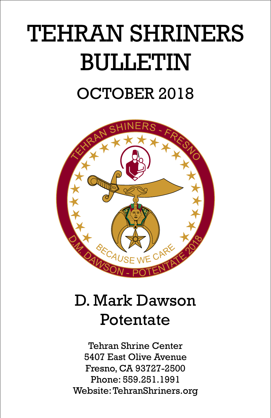# TEHRAN SHRINERS BULLETIN OCTOBER 2018



# D. Mark Dawson Potentate

Tehran Shrine Center 5407 East Olive Avenue Fresno, CA 93727-2500 Phone: 559.251.1991 Website:TehranShriners.org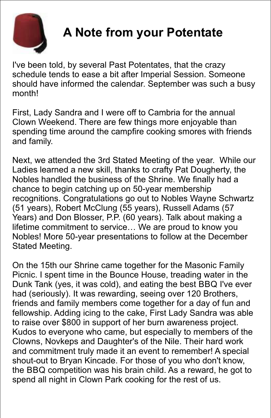

### **A Note from your Potentate**

I've been told, by several Past Potentates, that the crazy schedule tends to ease a bit after Imperial Session. Someone should have informed the calendar. September was such a busy month!

First, Lady Sandra and I were off to Cambria for the annual Clown Weekend. There are few things more enjoyable than spending time around the campfire cooking smores with friends and family.

Next, we attended the 3rd Stated Meeting of the year. While our Ladies learned a new skill, thanks to crafty Pat Dougherty, the Nobles handled the business of the Shrine. We finally had a chance to begin catching up on 50-year membership recognitions. Congratulations go out to Nobles Wayne Schwartz (51 years), Robert McClung (55 years), Russell Adams (57 Years) and Don Blosser, P.P. (60 years). Talk about making a lifetime commitment to service… We are proud to know you Nobles! More 50-year presentations to follow at the December Stated Meeting.

On the 15th our Shrine came together for the Masonic Family Picnic. I spent time in the Bounce House, treading water in the Dunk Tank (yes, it was cold), and eating the best BBQ I've ever had (seriously). It was rewarding, seeing over 120 Brothers, friends and family members come together for a day of fun and fellowship. Adding icing to the cake, First Lady Sandra was able to raise over \$800 in support of her burn awareness project. Kudos to everyone who came, but especially to members of the Clowns, Novkeps and Daughter's of the Nile. Their hard work and commitment truly made it an event to remember! A special shout-out to Bryan Kincade. For those of you who don't know, the BBQ competition was his brain child. As a reward, he got to spend all night in Clown Park cooking for the rest of us.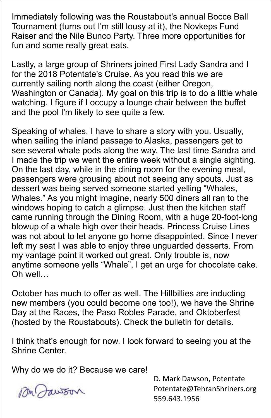Immediately following was the Roustabout's annual Bocce Ball Tournament (turns out I'm still lousy at it), the Novkeps Fund Raiser and the Nile Bunco Party. Three more opportunities for fun and some really great eats.

Lastly, a large group of Shriners joined First Lady Sandra and I for the 2018 Potentate's Cruise. As you read this we are currently sailing north along the coast (either Oregon, Washington or Canada). My goal on this trip is to do a little whale watching. I figure if I occupy a lounge chair between the buffet and the pool I'm likely to see quite a few.

Speaking of whales, I have to share a story with you. Usually, when sailing the inland passage to Alaska, passengers get to see several whale pods along the way. The last time Sandra and I made the trip we went the entire week without a single sighting. On the last day, while in the dining room for the evening meal, passengers were grousing about not seeing any spouts. Just as dessert was being served someone started yelling "Whales, Whales." As you might imagine, nearly 500 diners all ran to the windows hoping to catch a glimpse. Just then the kitchen staff came running through the Dining Room, with a huge 20-foot-long blowup of a whale high over their heads. Princess Cruise Lines was not about to let anyone go home disappointed. Since I never left my seat I was able to enjoy three unguarded desserts. From my vantage point it worked out great. Only trouble is, now anytime someone yells "Whale", I get an urge for chocolate cake. Oh well…

October has much to offer as well. The Hillbillies are inducting new members (you could become one too!), we have the Shrine Day at the Races, the Paso Robles Parade, and Oktoberfest (hosted by the Roustabouts). Check the bulletin for details.

I think that's enough for now. I look forward to seeing you at the Shrine Center.

Why do we do it? Because we care!

MM Jawson

D. Mark Dawson, Potentate Potentate@TehranShriners.org 559.643.1956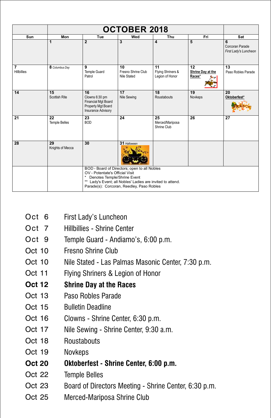| Sun                                           | Mon                        | Tue                                                                                                                                                                                                                         | Wed                                     | Thu                                        | Fri                               | Sat                                           |
|-----------------------------------------------|----------------------------|-----------------------------------------------------------------------------------------------------------------------------------------------------------------------------------------------------------------------------|-----------------------------------------|--------------------------------------------|-----------------------------------|-----------------------------------------------|
|                                               | 1                          | $\mathbf{2}$                                                                                                                                                                                                                | 3                                       | 4                                          | 5                                 | 6<br>Corcoran Parade<br>First Lady's Luncheon |
| $\overline{\mathbf{z}}$<br><b>Hillbillies</b> | 8 Columbus Day             | 9<br><b>Temple Guard</b><br>Patrol                                                                                                                                                                                          | 10<br>Fresno Shrine Club<br>Nile Stated | 11<br>Flying Shriners &<br>Legion of Honor | 12<br>Shrine Day at the<br>Races* | 13<br>Paso Robles Parade                      |
| 14                                            | 15<br>Scottish Rite        | 16<br>Clowns 6:30 pm<br><b>Financial Mgt Board</b><br>Property Mgt Board<br>Insurance Advisory                                                                                                                              | 17<br>Nile Sewing                       | 18<br>Roustabouts                          | 19<br>Novkeps                     | 20<br>Oktoberfest*                            |
| 21                                            | 22<br><b>Temple Belles</b> | 23<br><b>BOD</b>                                                                                                                                                                                                            | 24                                      | 25<br>Merced/Mariposa<br>Shrine Club       | 26                                | 27                                            |
| 28                                            | 29<br>Knights of Mecca     | 30                                                                                                                                                                                                                          | 31 Halloween                            |                                            |                                   |                                               |
|                                               |                            | BOD - Board of Directors; open to all Nobles<br>OV - Potentate's Official Visit<br>* Denotes Temple/Shrine Event<br>** Lady's Event; all Nobles' Ladies are invited to attend.<br>Parade(s): Corcoran, Reedley, Paso Robles |                                         |                                            |                                   |                                               |

- Oct 6 First Lady's Luncheon
- Oct 7 Hillbillies - Shrine Center
- Oct 9 Temple Guard - Andiamo's, 6:00 p.m.
- Oct 10 Fresno Shrine Club
- Oct 10 Nile Stated - Las Palmas Masonic Center, 7:30 p.m.
- Oct 11 Flying Shriners & Legion of Honor
- **Oct 12 Shrine Day at the Races**
- Oct 13 Paso Robles Parade
- Oct 15 Bulletin Deadline
- Oct 16 Clowns - Shrine Center, 6:30 p.m.
- Oct 17 Nile Sewing - Shrine Center, 9:30 a.m.
- Oct 18 **Roustabouts**
- Oct 19 Novkeps
- **Oct 20 Oktoberfest - Shrine Center, 6:00 p.m.**
- Oct 22 Temple Belles
- Oct 23 Board of Directors Meeting - Shrine Center, 6:30 p.m.
- Oct 25 Merced-Mariposa Shrine Club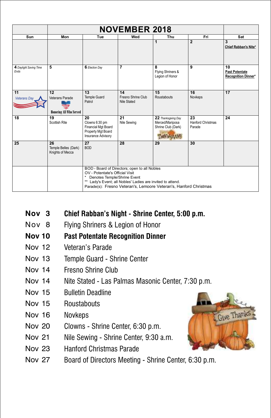| Sun                                    | Mon                                            | Tue                                                                                                                                                                                                                                               | Wed                                     | Thu                                                                                | Fri                               | Sat                                                       |
|----------------------------------------|------------------------------------------------|---------------------------------------------------------------------------------------------------------------------------------------------------------------------------------------------------------------------------------------------------|-----------------------------------------|------------------------------------------------------------------------------------|-----------------------------------|-----------------------------------------------------------|
|                                        |                                                |                                                                                                                                                                                                                                                   |                                         | 1                                                                                  | $\overline{2}$                    | 3<br>Chief Rabban's Nite*                                 |
| 4 Daylight Saving Time<br>Ends         | 5                                              | 6 Election Day                                                                                                                                                                                                                                    | 7                                       | 8<br>Flying Shriners &<br>Legion of Honor                                          | 9                                 | 10<br><b>Past Potentate</b><br><b>Recognition Dinner*</b> |
| $\overline{11}$<br><b>Veterans Day</b> | 12<br>Veterans Parade                          | 13<br><b>Temple Guard</b><br>Patrol                                                                                                                                                                                                               | 14<br>Fresno Shrine Club<br>Nile Stated | 15<br>Roustabouts                                                                  | 16<br>Novkeps                     | 17                                                        |
|                                        | <b>Honoring All Who Served</b>                 |                                                                                                                                                                                                                                                   |                                         |                                                                                    |                                   |                                                           |
| 18                                     | 19<br>Scottish Rite                            | 20<br>Clowns 6:30 pm<br>Financial Mgt Board<br>Property Mgt Board<br><b>Insurance Advisory</b>                                                                                                                                                    | 21<br>Nile Sewing                       | 22 Thanksgiving Day<br>Merced/Mariposa<br>Shrine Club (Dark)<br><b>THEY SOUTH!</b> | 23<br>Hanford Christmas<br>Parade | 24                                                        |
| 25                                     | 26<br>Temple Belles (Dark)<br>Knights of Mecca | 27<br><b>BOD</b>                                                                                                                                                                                                                                  | 28                                      | 29                                                                                 | 30                                |                                                           |
|                                        |                                                | BOD - Board of Directors; open to all Nobles<br>OV - Potentate's Official Visit<br>Denotes Temple/Shrine Event<br>** Lady's Event; all Nobles' Ladies are invited to attend.<br>Parade(s): Fresno Veteran's, Lemoore Veteran's, Hanford Christmas |                                         |                                                                                    |                                   |                                                           |

- **Nov 3 Chief Rabban's Night - Shrine Center, 5:00 p.m.**
- Nov 8 Flying Shriners & Legion of Honor

#### **Nov 10 Past Potentate Recognition Dinner**

- Nov 12 Veteran's Parade
- Nov 13 Temple Guard - Shrine Center
- Nov 14 Fresno Shrine Club
- Nov 14 Nite Stated - Las Palmas Masonic Center, 7:30 p.m.
- Nov 15 Bulletin Deadline
- Nov 15 **Roustabouts**
- Nov 16 Novkeps
- Nov 20 Clowns - Shrine Center, 6:30 p.m.
- Nov 21 Nile Sewing - Shrine Center, 9:30 a.m.
- Nov 23 Hanford Christmas Parade
- Nov 27 Board of Directors Meeting - Shrine Center, 6:30 p.m.

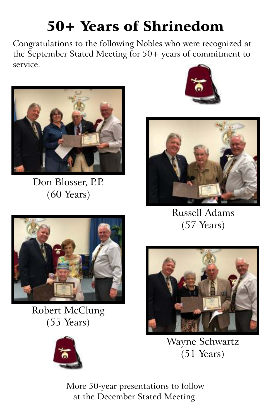# 50+ Years of Shrinedom

Congratulations to the following Nobles who were recognized at the September Stated Meeting for 50+ years of commitment to service.



Don Blosser, P.P. (60 Years)





Russell Adams (57 Years)



Robert McClung (55 Years)





Wayne Schwartz (51 Years)

More 50-year presentations to follow at the December Stated Meeting.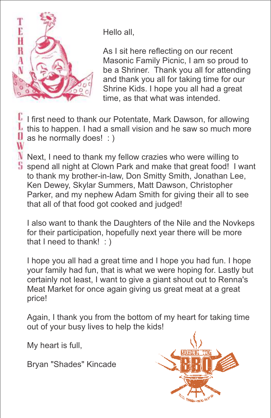

W

Hello all,

As I sit here reflecting on our recent Masonic Family Picnic, I am so proud to be a Shriner. Thank you all for attending and thank you all for taking time for our Shrine Kids. I hope you all had a great time, as that what was intended.

**I** I first need to thank our Potentate, Mark Dawson, for allowing If this to happen. I had a small vision and he saw so much more  $\mathbf{0}$  as he normally does! : )

 $\mathbf N$  Next, I need to thank my fellow crazies who were willing to S spend all night at Clown Park and make that great food! I want to thank my brother-in-law, Don Smitty Smith, Jonathan Lee, Ken Dewey, Skylar Summers, Matt Dawson, Christopher Parker, and my nephew Adam Smith for giving their all to see that all of that food got cooked and judged!

I also want to thank the Daughters of the Nile and the Novkeps for their participation, hopefully next year there will be more that I need to thank! : )

I hope you all had a great time and I hope you had fun. I hope your family had fun, that is what we were hoping for. Lastly but certainly not least, I want to give a giant shout out to Renna's Meat Market for once again giving us great meat at a great price!

Again, I thank you from the bottom of my heart for taking time out of your busy lives to help the kids!

My heart is full,

Bryan "Shades" Kincade

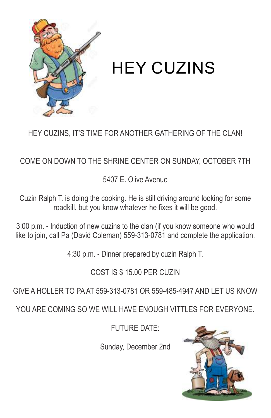

HEY CUZINS

HEY CUZINS, IT'S TIME FOR ANOTHER GATHERING OF THE CLAN!

COME ON DOWN TO THE SHRINE CENTER ON SUNDAY, OCTOBER 7TH

5407 E. Olive Avenue

Cuzin Ralph T. is doing the cooking. He is still driving around looking for some roadkill, but you know whatever he fixes it will be good.

3:00 p.m. - Induction of new cuzins to the clan (if you know someone who would like to join, call Pa (David Coleman) 559-313-0781 and complete the application.

4:30 p.m. - Dinner prepared by cuzin Ralph T.

#### COST IS \$ 15.00 PER CUZIN

GIVE A HOLLER TO PA AT 559-313-0781 OR 559-485-4947 AND LET US KNOW

YOU ARE COMING SO WE WILL HAVE ENOUGH VITTLES FOR EVERYONE.

FUTURE DATE:

Sunday, December 2nd

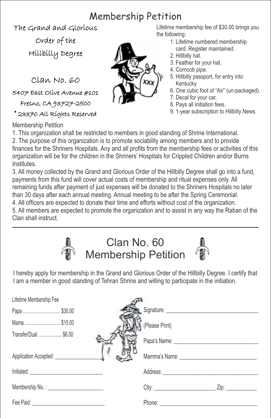#### Membership Petition

The Grand and Glorious Order of the

Hillbilly Degree

Clan No. 60

5407 East Olive Avenue #101

Fresno, CA 93727-2500

© 23370 All Rights Reserved

Membership Petition

Lifetime membership fee of \$30.00 brings you the following:

- 1. Lifetime numbered membership card. Register maintained.
- 2. Hillbilly hat.
- 3. Feather for your hat.
- 4. Corncob pipe.
- 5. Hillbilly passport, for entry into Kentucky.
- 6. One cubic foot of "Air" (un-packaged).
- 7. Decal for your car.
- 8. Pays all initiation fees.
- 9. 1-year subscription to Hillbilly News.

1. This organization shall be restricted to members in good standing of Shrine International. 2. The purpose of this organization is to promote sociability among members and to provide finances for the Shriners Hospitals. Any and all profits from the membership fees or activities of this organization will be for the children in the Shriners' Hospitals for Crippled Children and/or Burns Institutes.

3. All money collected by the Grand and Glorious Order of the Hillbilly Degree shall go into a fund, payments from this fund will cover actual costs of membership and ritual expenses only. All remaining funds after payment of just expenses will be donated to the Shriners Hospitals no later than 30 days after each annual meeting. Annual meeting to be after the Spring Ceremonial. 4. All officers are expected to donate their time and efforts without cost of the organization.

5. All members are expected to promote the organization and to assist in any way the Raban of the Clan shall instruct.



#### Clan No. 60 Membership Petition



I hereby apply for membership in the Grand and Glorious Order of the Hillbilly Degree. I certify that I am a member in good standing of Tehran Shrine and willing to participate in the initiation.

| Lifetime Membership Fee               |                |
|---------------------------------------|----------------|
| Papa  \$30.00                         |                |
| Mama  \$15.00                         | (Please Print) |
| Transfer/Dual \$6.00                  |                |
| Application Accepted: _______________ |                |
|                                       |                |
|                                       |                |
|                                       | Phone:         |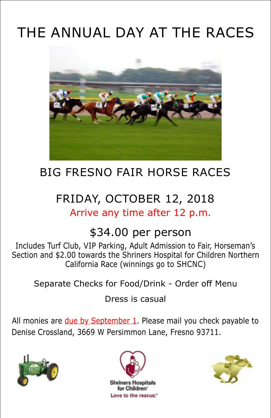# THE ANNUAL DAY AT THE RACES



### BIG FRESNO FAIR HORSE RACES

### FRIDAY, OCTOBER 12, 2018 Arrive any time after 12 p.m.

#### \$34.00 per person

Includes Turf Club, VIP Parking, Adult Admission to Fair, Horseman's Section and \$2.00 towards the Shriners Hospital for Children Northern California Race (winnings go to SHCNC)

Separate Checks for Food/Drink - Order off Menu

Dress is casual

All monies are due by September 1. Please mail you check payable to Denise Crossland, 3669 W Persimmon Lane, Fresno 93711.





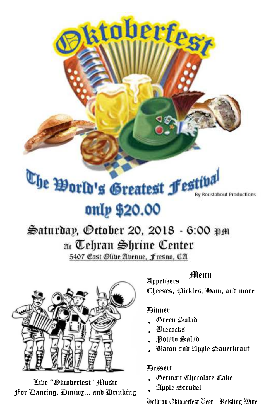# The World's Greatest Festiva By Roustabout Productions only \$20.00

ktoberfest

# Saturday, October 20, 2018 - 6:00 pm at Tehran Shrine Center

5407 Cast Olive Avenue, Fresno, CA



Live "Oktoberfest" Music For Dancing, Dining... and Drinking Menu

Appetizers Cheeses, Pickles, Ham, and more

#### Dinner

- Green Salad
- Bierocks
- Potato Salad
- Bacon and Apple Sauerkraut

#### Dessert

- German Chocolate Cake
- Apple Strudel

Hofbrau Oktoberfest Beer Reisling Wine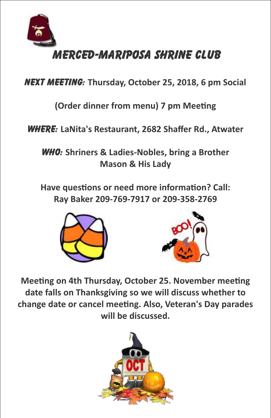

NEXT MEETING: **Thursday, October 25, 2018, 6 pm Social**

**(Order dinner from menu) 7 pm Meeting** 

WHERE: **LaNita's Restaurant, 2682 Shaffer Rd., Atwater** 

WHO: **Shriners & Ladies-Nobles, bring a Brother Mason & His Lady** 

Have questions or need more information? Call: **Ray Baker 209-769-7917 or 209-358-2769**





**Meeting on 4th Thursday, October 25. November meeting date falls on Thanksgiving so we will discuss whether to**  change date or cancel meeting. Also, Veteran's Day parades **will be discussed.** 

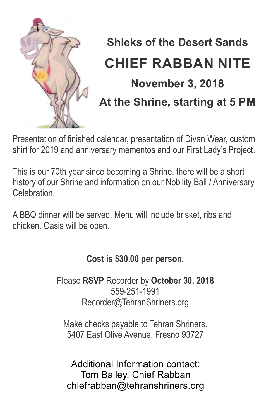

# **Shieks of the Desert Sands CHIEF RABBAN NITE November 3, 2018 At the Shrine, starting at 5 PM**

Presentation of finished calendar, presentation of Divan Wear, custom shirt for 2019 and anniversary mementos and our First Lady's Project.

This is our 70th year since becoming a Shrine, there will be a short history of our Shrine and information on our Nobility Ball / Anniversary Celebration.

A BBQ dinner will be served. Menu will include brisket, ribs and chicken. Oasis will be open.

#### **Cost is \$30.00 per person.**

Please **RSVP** Recorder by **October 30, 2018** 559-251-1991 Recorder@TehranShriners.org

Make checks payable to Tehran Shriners. 5407 East Olive Avenue, Fresno 93727

Additional Information contact: Tom Bailey, Chief Rabban chiefrabban@tehranshriners.org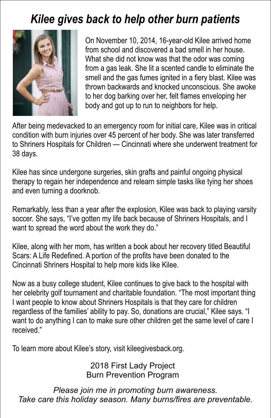### *Kilee gives back to help other burn patients*



On November 10, 2014, 16-year-old Kilee arrived home from school and discovered a bad smell in her house. What she did not know was that the odor was coming from a gas leak. She lit a scented candle to eliminate the smell and the gas fumes ignited in a fiery blast. Kilee was thrown backwards and knocked unconscious. She awoke to her dog barking over her, felt flames enveloping her body and got up to run to neighbors for help.

After being medevacked to an emergency room for initial care, Kilee was in critical condition with burn injuries over 45 percent of her body. She was later transferred to Shriners Hospitals for Children — Cincinnati where she underwent treatment for 38 days.

Kilee has since undergone surgeries, skin grafts and painful ongoing physical therapy to regain her independence and relearn simple tasks like tying her shoes and even turning a doorknob.

Remarkably, less than a year after the explosion, Kilee was back to playing varsity soccer. She says, "I've gotten my life back because of Shriners Hospitals, and I want to spread the word about the work they do."

Kilee, along with her mom, has written a book about her recovery titled Beautiful Scars: A Life Redefined. A portion of the profits have been donated to the Cincinnati Shriners Hospital to help more kids like Kilee.

Now as a busy college student, Kilee continues to give back to the hospital with her celebrity golf tournament and charitable foundation. "The most important thing I want people to know about Shriners Hospitals is that they care for children regardless of the families' ability to pay. So, donations are crucial," Kilee says. "I want to do anything I can to make sure other children get the same level of care I received."

To learn more about Kilee's story, visit kileegivesback.org.

2018 First Lady Project Burn Prevention Program

*Please join me in promoting burn awareness. Take care this holiday season. Many burns/fires are preventable.*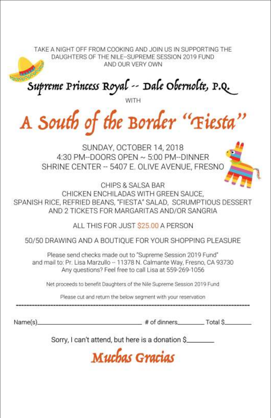TAKE A NIGHT OFF FROM COOKING AND JOIN US IN SUPPORTING THE DAUGHTERS OF THE NILE-SUPREME SESSION 2019 FUND AND OUR VERY OWN

Supreme Princess Royal -- Dale Obernolte, P.Q.

A South of the Border "Fieste

SUNDAY, OCTOBER 14, 2018 4:30 PM--DOORS OPEN ~ 5:00 PM--DINNFR SHRINE CENTER -- 5407 E. OLIVE AVENUE, FRESNO

CHIPS & SALSA BAR CHICKEN ENCHILADAS WITH GREEN SAUCE. SPANISH RICE, REFRIED BEANS, "FIESTA" SALAD, SCRUMPTIOUS DESSERT AND 2 TICKETS FOR MARGARITAS AND/OR SANGRIA

ALL THIS FOR JUST \$25.00 A PERSON

50/50 DRAWING AND A BOUTIQUE FOR YOUR SHOPPING PLEASURE

Please send checks made out to "Supreme Session 2019 Fund" and mail to: Pr. Lisa Marzullo -- 11378 N. Calmante Way, Fresno, CA 93730 Any questions? Feel free to call Lisa at 559-269-1056

Net proceeds to benefit Daughters of the Nile Supreme Session 2019 Fund

Please cut and return the below segment with your reservation

Name(s)

# of dinners Total S

Sorry, I can't attend, but here is a donation \$

Muchas Gracias